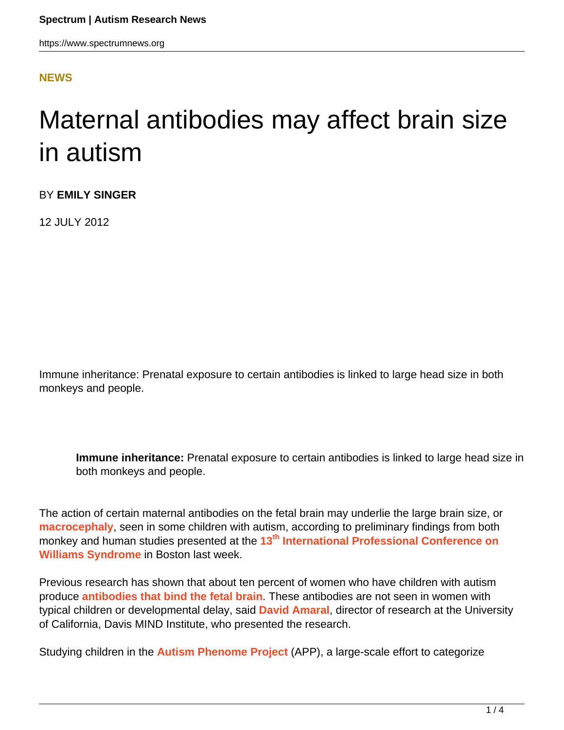#### **[NEWS](HTTPS://WWW.SPECTRUMNEWS.ORG/NEWS/)**

# Maternal antibodies may affect brain size in autism

BY **EMILY SINGER**

12 JULY 2012

Immune inheritance: Prenatal exposure to certain antibodies is linked to large head size in both monkeys and people.

**Immune inheritance:** Prenatal exposure to certain antibodies is linked to large head size in both monkeys and people.

The action of certain maternal antibodies on the fetal brain may underlie the large brain size, or **[macrocephaly](../../../resources/sfari-wiki/macrocephaly)**, seen in some children with autism, according to preliminary findings from both monkey and human studies presented at the **[13](http://www.williams-syndrome.org/professional)[th](http://www.williams-syndrome.org/professional) [International Professional Conference on](http://www.williams-syndrome.org/professional) [Williams Syndrome](http://www.williams-syndrome.org/professional)** in Boston last week.

Previous research has shown that about ten percent of women who have children with autism produce **[antibodies that bind the fetal brain](https://www.spectrumnews.org/conference-news/2009/society-for-neuroscience-2009/antibodies-to-fetal-proteins-trigger-autism-features)**. These antibodies are not seen in women with typical children or developmental delay, said **[David Amaral](http://www.ucdmc.ucdavis.edu/psychiatry/ourteam/faculty/amaral.html/)**, director of research at the University of California, Davis MIND Institute, who presented the research.

Studying children in the **[Autism Phenome Project](http://www.ucdmc.ucdavis.edu/mindinstitute/research/app/)** (APP), a large-scale effort to categorize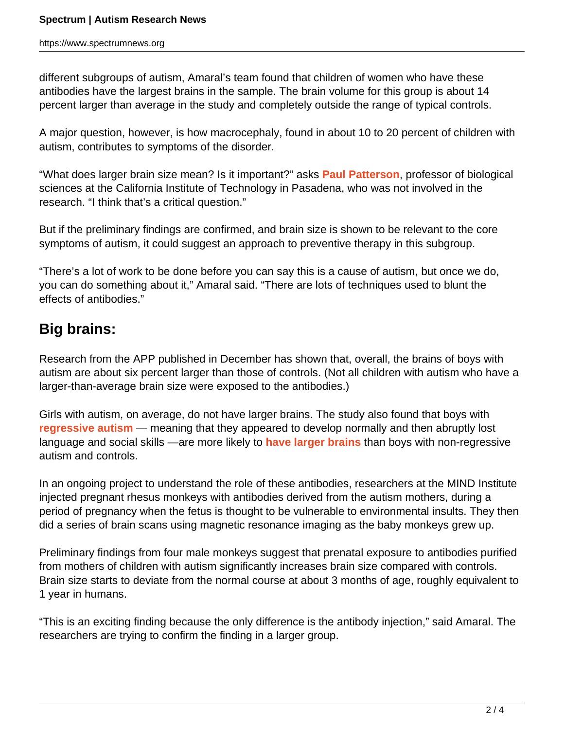different subgroups of autism, Amaral's team found that children of women who have these antibodies have the largest brains in the sample. The brain volume for this group is about 14 percent larger than average in the study and completely outside the range of typical controls.

A major question, however, is how macrocephaly, found in about 10 to 20 percent of children with autism, contributes to symptoms of the disorder.

"What does larger brain size mean? Is it important?" asks **[Paul Patterson](/author/?author=https%3A%2F%2Fid.simonsfoundation.org%2Fpaulpatterson)**, professor of biological sciences at the California Institute of Technology in Pasadena, who was not involved in the research. "I think that's a critical question."

But if the preliminary findings are confirmed, and brain size is shown to be relevant to the core symptoms of autism, it could suggest an approach to preventive therapy in this subgroup.

"There's a lot of work to be done before you can say this is a cause of autism, but once we do, you can do something about it," Amaral said. "There are lots of techniques used to blunt the effects of antibodies."

## **Big brains:**

Research from the APP published in December has shown that, overall, the brains of boys with autism are about six percent larger than those of controls. (Not all children with autism who have a larger-than-average brain size were exposed to the antibodies.)

Girls with autism, on average, do not have larger brains. The study also found that boys with **[regressive autism](https://www.spectrumnews.org/workshop-reports/2012/workshop-report-regression-in-autism)** — meaning that they appeared to develop normally and then abruptly lost language and social skills —are more likely to **[have larger brains](https://www.spectrumnews.org/news/2011/study-links-brain-size-to-regressive-autism)** than boys with non-regressive autism and controls.

In an ongoing project to understand the role of these antibodies, researchers at the MIND Institute injected pregnant rhesus monkeys with antibodies derived from the autism mothers, during a period of pregnancy when the fetus is thought to be vulnerable to environmental insults. They then did a series of brain scans using magnetic resonance imaging as the baby monkeys grew up.

Preliminary findings from four male monkeys suggest that prenatal exposure to antibodies purified from mothers of children with autism significantly increases brain size compared with controls. Brain size starts to deviate from the normal course at about 3 months of age, roughly equivalent to 1 year in humans.

"This is an exciting finding because the only difference is the antibody injection," said Amaral. The researchers are trying to confirm the finding in a larger group.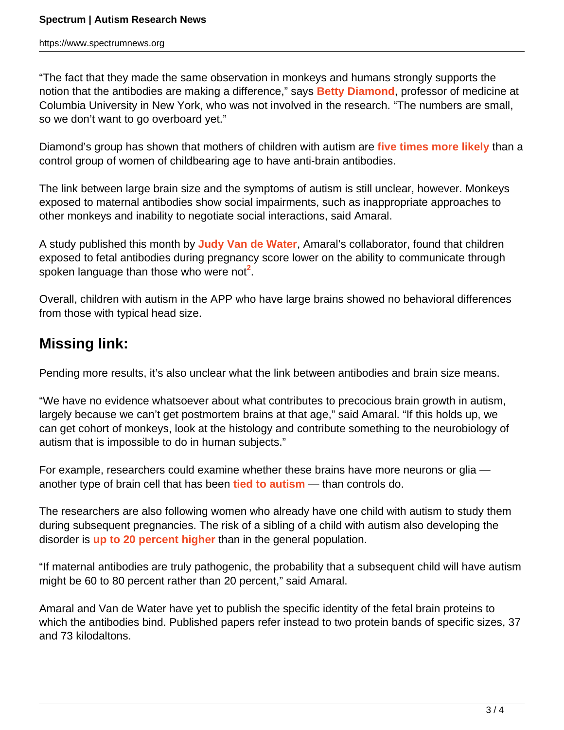"The fact that they made the same observation in monkeys and humans strongly supports the notion that the antibodies are making a difference," says **[Betty Diamond](/author/?author=https%3A%2F%2Fid.simonsfoundation.org%2Fbettydiamond)**, professor of medicine at Columbia University in New York, who was not involved in the research. "The numbers are small, so we don't want to go overboard yet."

Diamond's group has shown that mothers of children with autism are **[five times more likely](https://www.spectrumnews.org/viewpoint/2012/maternal-anti-brain-antibodies-may-play-a-role-in-autism)** than a control group of women of childbearing age to have anti-brain antibodies.

The link between large brain size and the symptoms of autism is still unclear, however. Monkeys exposed to maternal antibodies show social impairments, such as inappropriate approaches to other monkeys and inability to negotiate social interactions, said Amaral.

A study published this month by **[Judy Van de Water](http://www.ucdmc.ucdavis.edu/mindinstitute/ourteam/faculty/vandewater.html)**, Amaral's collaborator, found that children exposed to fetal antibodies during pregnancy score lower on the ability to communicate through spoken language than those who were not<sup>2</sup>.

Overall, children with autism in the APP who have large brains showed no behavioral differences from those with typical head size.

### **Missing link:**

Pending more results, it's also unclear what the link between antibodies and brain size means.

"We have no evidence whatsoever about what contributes to precocious brain growth in autism, largely because we can't get postmortem brains at that age," said Amaral. "If this holds up, we can get cohort of monkeys, look at the histology and contribute something to the neurobiology of autism that is impossible to do in human subjects."

For example, researchers could examine whether these brains have more neurons or glia another type of brain cell that has been **[tied to autism](https://www.spectrumnews.org/news/2009/study-says-rett-genes-role-in-glia-not-neurons-crucial-to-syndrome)** — than controls do.

The researchers are also following women who already have one child with autism to study them during subsequent pregnancies. The risk of a sibling of a child with autism also developing the disorder is **[up to 20 percent higher](https://www.spectrumnews.org/viewpoint/2011/studying-infant-siblings-of-children-with-autism-spectrum-disorder)** than in the general population.

"If maternal antibodies are truly pathogenic, the probability that a subsequent child will have autism might be 60 to 80 percent rather than 20 percent," said Amaral.

Amaral and Van de Water have yet to publish the specific identity of the fetal brain proteins to which the antibodies bind. Published papers refer instead to two protein bands of specific sizes, 37 and 73 kilodaltons.